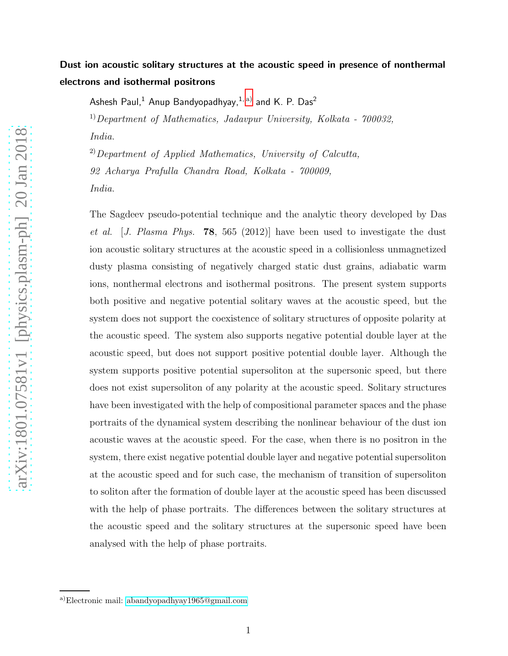## Dust ion acoustic solitary structures at the acoustic speed in presence of nonthermal electrons and isothermal positrons

Ashesh Paul,<sup>1</sup> Anup Bandyopadhyay,<sup>1, [a\)](#page-0-0)</sup> and K. P. Das<sup>2</sup>

1)*Department of Mathematics, Jadavpur University, Kolkata - 700032, India.*

2)*Department of Applied Mathematics, University of Calcutta, 92 Acharya Prafulla Chandra Road, Kolkata - 700009, India.*

The Sagdeev pseudo-potential technique and the analytic theory developed by Das *et al.* [*J. Plasma Phys.* 78, 565 (2012)] have been used to investigate the dust ion acoustic solitary structures at the acoustic speed in a collisionless unmagnetized dusty plasma consisting of negatively charged static dust grains, adiabatic warm ions, nonthermal electrons and isothermal positrons. The present system supports both positive and negative potential solitary waves at the acoustic speed, but the system does not support the coexistence of solitary structures of opposite polarity at the acoustic speed. The system also supports negative potential double layer at the acoustic speed, but does not support positive potential double layer. Although the system supports positive potential supersoliton at the supersonic speed, but there does not exist supersoliton of any polarity at the acoustic speed. Solitary structures have been investigated with the help of compositional parameter spaces and the phase portraits of the dynamical system describing the nonlinear behaviour of the dust ion acoustic waves at the acoustic speed. For the case, when there is no positron in the system, there exist negative potential double layer and negative potential supersoliton at the acoustic speed and for such case, the mechanism of transition of supersoliton to soliton after the formation of double layer at the acoustic speed has been discussed with the help of phase portraits. The differences between the solitary structures at the acoustic speed and the solitary structures at the supersonic speed have been analysed with the help of phase portraits.

<span id="page-0-0"></span>a)Electronic mail: [abandyopadhyay1965@gmail.com](mailto:abandyopadhyay1965@gmail.com)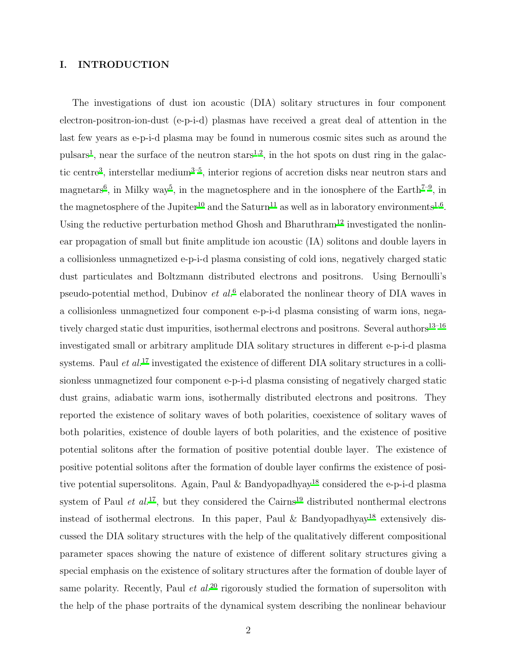### I. INTRODUCTION

The investigations of dust ion acoustic (DIA) solitary structures in four component electron-positron-ion-dust (e-p-i-d) plasmas have received a great deal of attention in the last few years as e-p-i-d plasma may be found in numerous cosmic sites such as around the pulsars<sup>[1](#page-19-0)</sup>, near the surface of the neutron stars<sup>1[,2](#page-19-1)</sup>, in the hot spots on dust ring in the galac-tic centre<sup>[3](#page-19-2)</sup>, interstellar medium<sup>3-5</sup>, interior regions of accretion disks near neutron stars and magnetars<sup>[6](#page-19-4)</sup>, in Milky way<sup>[5](#page-19-3)</sup>, in the magnetosphere and in the ionosphere of the Earth<sup>[7](#page-19-5)-9</sup>, in the magnetosphere of the Jupiter<sup>[10](#page-19-7)</sup> and the Saturn<sup>[11](#page-19-8)</sup> as well as in laboratory environments<sup>[1](#page-19-0)[,6](#page-19-4)</sup>. Using the reductive perturbation method Ghosh and Bharuthram<sup>[12](#page-19-9)</sup> investigated the nonlinear propagation of small but finite amplitude ion acoustic (IA) solitons and double layers in a collisionless unmagnetized e-p-i-d plasma consisting of cold ions, negatively charged static dust particulates and Boltzmann distributed electrons and positrons. Using Bernoulli's pseudo-potential method, Dubinov *et al.*[6](#page-19-4) elaborated the nonlinear theory of DIA waves in a collisionless unmagnetized four component e-p-i-d plasma consisting of warm ions, nega-tively charged static dust impurities, isothermal electrons and positrons. Several authors<sup>[13](#page-19-10)-16</sup> investigated small or arbitrary amplitude DIA solitary structures in different e-p-i-d plasma systems. Paul *et al.*<sup>[17](#page-20-1)</sup> investigated the existence of different DIA solitary structures in a collisionless unmagnetized four component e-p-i-d plasma consisting of negatively charged static dust grains, adiabatic warm ions, isothermally distributed electrons and positrons. They reported the existence of solitary waves of both polarities, coexistence of solitary waves of both polarities, existence of double layers of both polarities, and the existence of positive potential solitons after the formation of positive potential double layer. The existence of positive potential solitons after the formation of double layer confirms the existence of posi-tive potential supersolitons. Again, Paul & Bandyopadhyay<sup>[18](#page-20-2)</sup> considered the e-p-i-d plasma system of Paul  $et \ al.$ <sup>[17](#page-20-1)</sup>, but they considered the Cairns<sup>[19](#page-20-3)</sup> distributed nonthermal electrons instead of isothermal electrons. In this paper, Paul & Bandyopadhyay<sup>[18](#page-20-2)</sup> extensively discussed the DIA solitary structures with the help of the qualitatively different compositional parameter spaces showing the nature of existence of different solitary structures giving a special emphasis on the existence of solitary structures after the formation of double layer of same polarity. Recently, Paul *et al.*[20](#page-20-4) rigorously studied the formation of supersoliton with the help of the phase portraits of the dynamical system describing the nonlinear behaviour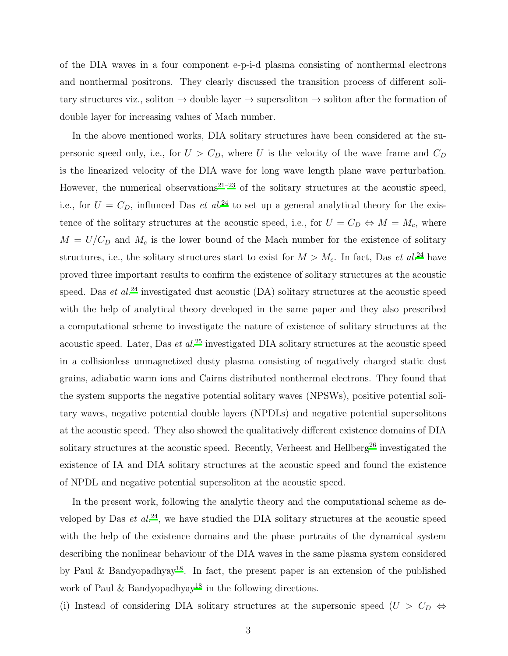of the DIA waves in a four component e-p-i-d plasma consisting of nonthermal electrons and nonthermal positrons. They clearly discussed the transition process of different solitary structures viz., soliton  $\rightarrow$  double layer  $\rightarrow$  supersoliton  $\rightarrow$  soliton after the formation of double layer for increasing values of Mach number.

In the above mentioned works, DIA solitary structures have been considered at the supersonic speed only, i.e., for  $U > C_D$ , where U is the velocity of the wave frame and  $C_D$ is the linearized velocity of the DIA wave for long wave length plane wave perturbation. However, the numerical observations<sup>[21](#page-20-5)[–23](#page-20-6)</sup> of the solitary structures at the acoustic speed, i.e., for  $U = C_D$ , influnced Das *et al.*<sup>[24](#page-20-7)</sup> to set up a general analytical theory for the existence of the solitary structures at the acoustic speed, i.e., for  $U = C_D \Leftrightarrow M = M_c$ , where  $M = U/C_D$  and  $M_c$  is the lower bound of the Mach number for the existence of solitary structures, i.e., the solitary structures start to exist for  $M > M_c$ . In fact, Das *et al.*<sup>[24](#page-20-7)</sup> have proved three important results to confirm the existence of solitary structures at the acoustic speed. Das *et al.*<sup>[24](#page-20-7)</sup> investigated dust acoustic (DA) solitary structures at the acoustic speed with the help of analytical theory developed in the same paper and they also prescribed a computational scheme to investigate the nature of existence of solitary structures at the acoustic speed. Later, Das *et al.*[25](#page-20-8) investigated DIA solitary structures at the acoustic speed in a collisionless unmagnetized dusty plasma consisting of negatively charged static dust grains, adiabatic warm ions and Cairns distributed nonthermal electrons. They found that the system supports the negative potential solitary waves (NPSWs), positive potential solitary waves, negative potential double layers (NPDLs) and negative potential supersolitons at the acoustic speed. They also showed the qualitatively different existence domains of DIA solitary structures at the acoustic speed. Recently, Verheest and Hellberg<sup>[26](#page-20-9)</sup> investigated the existence of IA and DIA solitary structures at the acoustic speed and found the existence of NPDL and negative potential supersoliton at the acoustic speed.

In the present work, following the analytic theory and the computational scheme as developed by Das *et al.*<sup>[24](#page-20-7)</sup>, we have studied the DIA solitary structures at the acoustic speed with the help of the existence domains and the phase portraits of the dynamical system describing the nonlinear behaviour of the DIA waves in the same plasma system considered by Paul & Bandyopadhyay<sup>[18](#page-20-2)</sup>. In fact, the present paper is an extension of the published work of Paul  $\&$  Bandyopadhyay<sup>[18](#page-20-2)</sup> in the following directions.

(i) Instead of considering DIA solitary structures at the supersonic speed  $(U > C_D \Leftrightarrow$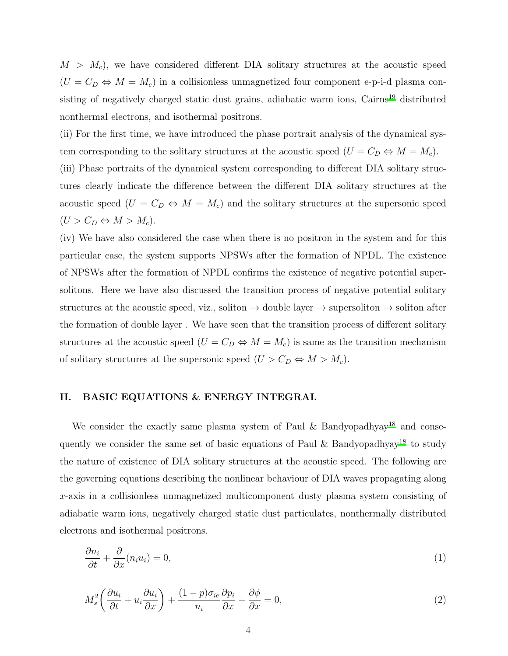$M > M<sub>c</sub>$ , we have considered different DIA solitary structures at the acoustic speed  $(U = C_D \Leftrightarrow M = M_c)$  in a collisionless unmagnetized four component e-p-i-d plasma con-sisting of negatively charged static dust grains, adiabatic warm ions, Cairns<sup>[19](#page-20-3)</sup> distributed nonthermal electrons, and isothermal positrons.

(ii) For the first time, we have introduced the phase portrait analysis of the dynamical system corresponding to the solitary structures at the acoustic speed  $(U = C_D \Leftrightarrow M = M_c)$ . (iii) Phase portraits of the dynamical system corresponding to different DIA solitary structures clearly indicate the difference between the different DIA solitary structures at the acoustic speed  $(U = C_D \Leftrightarrow M = M_c)$  and the solitary structures at the supersonic speed  $(U > C_D \Leftrightarrow M > M_c).$ 

(iv) We have also considered the case when there is no positron in the system and for this particular case, the system supports NPSWs after the formation of NPDL. The existence of NPSWs after the formation of NPDL confirms the existence of negative potential supersolitons. Here we have also discussed the transition process of negative potential solitary structures at the acoustic speed, viz., soliton  $\rightarrow$  double layer  $\rightarrow$  supersoliton  $\rightarrow$  soliton after the formation of double layer . We have seen that the transition process of different solitary structures at the acoustic speed  $(U = C_D \Leftrightarrow M = M_c)$  is same as the transition mechanism of solitary structures at the supersonic speed  $(U > C_D \Leftrightarrow M > M_c)$ .

### II. BASIC EQUATIONS & ENERGY INTEGRAL

We consider the exactly same plasma system of Paul  $\&$  Bandyopadhyay<sup>[18](#page-20-2)</sup> and conse-quently we consider the same set of basic equations of Paul & Bandyopadhyay<sup>[18](#page-20-2)</sup> to study the nature of existence of DIA solitary structures at the acoustic speed. The following are the governing equations describing the nonlinear behaviour of DIA waves propagating along x-axis in a collisionless unmagnetized multicomponent dusty plasma system consisting of adiabatic warm ions, negatively charged static dust particulates, nonthermally distributed electrons and isothermal positrons.

$$
\frac{\partial n_i}{\partial t} + \frac{\partial}{\partial x}(n_i u_i) = 0,\tag{1}
$$

$$
M_s^2 \left( \frac{\partial u_i}{\partial t} + u_i \frac{\partial u_i}{\partial x} \right) + \frac{(1-p)\sigma_{ie}}{n_i} \frac{\partial p_i}{\partial x} + \frac{\partial \phi}{\partial x} = 0, \tag{2}
$$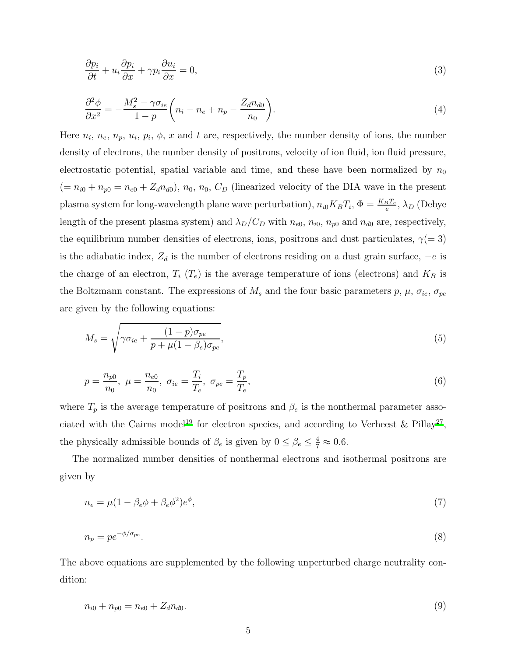$$
\frac{\partial p_i}{\partial t} + u_i \frac{\partial p_i}{\partial x} + \gamma p_i \frac{\partial u_i}{\partial x} = 0,
$$
\n(3)

$$
\frac{\partial^2 \phi}{\partial x^2} = -\frac{M_s^2 - \gamma \sigma_{ie}}{1 - p} \left( n_i - n_e + n_p - \frac{Z_d n_{d0}}{n_0} \right). \tag{4}
$$

Here  $n_i$ ,  $n_e$ ,  $n_p$ ,  $u_i$ ,  $p_i$ ,  $\phi$ , x and t are, respectively, the number density of ions, the number density of electrons, the number density of positrons, velocity of ion fluid, ion fluid pressure, electrostatic potential, spatial variable and time, and these have been normalized by  $n_0$  $(= n_{i0} + n_{p0} = n_{e0} + Z_d n_{d0}), n_0, n_0, C_D$  (linearized velocity of the DIA wave in the present plasma system for long-wavelength plane wave perturbation),  $n_{i0}K_BT_i$ ,  $\Phi = \frac{K_BT_e}{e}$ ,  $\lambda_D$  (Debye length of the present plasma system) and  $\lambda_D/C_D$  with  $n_{e0}$ ,  $n_{i0}$ ,  $n_{p0}$  and  $n_{d0}$  are, respectively, the equilibrium number densities of electrons, ions, positrons and dust particulates,  $\gamma(= 3)$ is the adiabatic index,  $Z_d$  is the number of electrons residing on a dust grain surface,  $-e$  is the charge of an electron,  $T_i$  ( $T_e$ ) is the average temperature of ions (electrons) and  $K_B$  is the Boltzmann constant. The expressions of  $M_s$  and the four basic parameters  $p, \mu, \sigma_{ie}, \sigma_{pe}$ are given by the following equations:

$$
M_s = \sqrt{\gamma \sigma_{ie} + \frac{(1-p)\sigma_{pe}}{p + \mu(1-\beta_e)\sigma_{pe}}},\tag{5}
$$

$$
p = \frac{n_{p0}}{n_0}, \ \mu = \frac{n_{e0}}{n_0}, \ \sigma_{ie} = \frac{T_i}{T_e}, \ \sigma_{pe} = \frac{T_p}{T_e}, \tag{6}
$$

where  $T_p$  is the average temperature of positrons and  $\beta_e$  is the nonthermal parameter asso-ciated with the Cairns model<sup>[19](#page-20-3)</sup> for electron species, and according to Verheest & Pillay<sup>[27](#page-20-10)</sup>, the physically admissible bounds of  $\beta_e$  is given by  $0 \le \beta_e \le \frac{4}{7} \approx 0.6$ .

The normalized number densities of nonthermal electrons and isothermal positrons are given by

$$
n_e = \mu(1 - \beta_e \phi + \beta_e \phi^2)e^{\phi},\tag{7}
$$

$$
n_p = p e^{-\phi/\sigma_{pe}}.\tag{8}
$$

The above equations are supplemented by the following unperturbed charge neutrality condition:

$$
n_{i0} + n_{p0} = n_{e0} + Z_d n_{d0}.\tag{9}
$$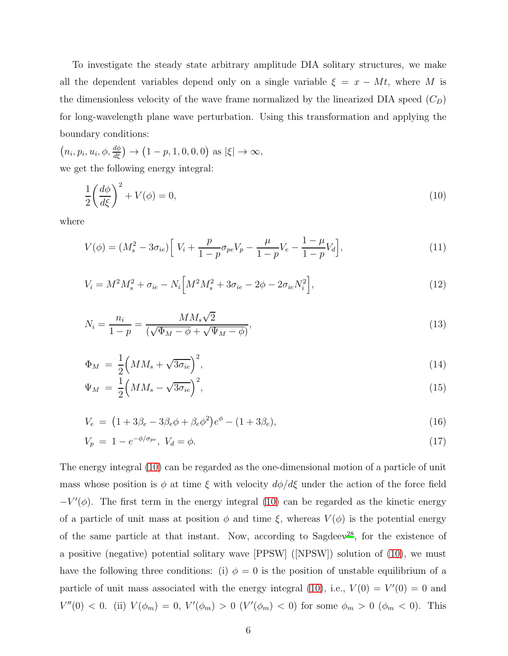To investigate the steady state arbitrary amplitude DIA solitary structures, we make all the dependent variables depend only on a single variable  $\xi = x - Mt$ , where M is the dimensionless velocity of the wave frame normalized by the linearized DIA speed  $(\mathcal{C}_D)$ for long-wavelength plane wave perturbation. Using this transformation and applying the boundary conditions:

$$
(n_i, p_i, u_i, \phi, \frac{d\phi}{d\xi}) \to (1 - p, 1, 0, 0, 0) \text{ as } |\xi| \to \infty,
$$
  
we get the following energy integral:

<span id="page-5-0"></span>
$$
\frac{1}{2}\left(\frac{d\phi}{d\xi}\right)^2 + V(\phi) = 0,\tag{10}
$$

where

$$
V(\phi) = (M_s^2 - 3\sigma_{ie}) \left[ V_i + \frac{p}{1-p} \sigma_{pe} V_p - \frac{\mu}{1-p} V_e - \frac{1-\mu}{1-p} V_d \right],\tag{11}
$$

$$
V_i = M^2 M_s^2 + \sigma_{ie} - N_i \Big[ M^2 M_s^2 + 3\sigma_{ie} - 2\phi - 2\sigma_{ie} N_i^2 \Big],\tag{12}
$$

$$
N_i = \frac{n_i}{1 - p} = \frac{MM_s\sqrt{2}}{(\sqrt{\Phi_M - \phi} + \sqrt{\Psi_M - \phi})},\tag{13}
$$

$$
\Phi_M = \frac{1}{2} \left( M M_s + \sqrt{3 \sigma_{ie}} \right)^2,\tag{14}
$$

$$
\Psi_M = \frac{1}{2} \left( M M_s - \sqrt{3 \sigma_{ie}} \right)^2,\tag{15}
$$

$$
V_e = (1 + 3\beta_e - 3\beta_e\phi + \beta_e\phi^2)e^{\phi} - (1 + 3\beta_e),
$$
\n(16)

$$
V_p = 1 - e^{-\phi/\sigma_{pe}}, \ V_d = \phi.
$$
\n(17)

The energy integral [\(10\)](#page-5-0) can be regarded as the one-dimensional motion of a particle of unit mass whose position is  $\phi$  at time  $\xi$  with velocity  $d\phi/d\xi$  under the action of the force field  $-V'(\phi)$ . The first term in the energy integral [\(10\)](#page-5-0) can be regarded as the kinetic energy of a particle of unit mass at position  $\phi$  and time  $\xi$ , whereas  $V(\phi)$  is the potential energy of the same particle at that instant. Now, according to Sagdeev<sup>[28](#page-20-11)</sup>, for the existence of a positive (negative) potential solitary wave [PPSW] ([NPSW]) solution of [\(10\)](#page-5-0), we must have the following three conditions: (i)  $\phi = 0$  is the position of unstable equilibrium of a particle of unit mass associated with the energy integral [\(10\)](#page-5-0), i.e.,  $V(0) = V'(0) = 0$  and  $V''(0) < 0$ . (ii)  $V(\phi_m) = 0$ ,  $V'(\phi_m) > 0$   $(V'(\phi_m) < 0)$  for some  $\phi_m > 0$   $(\phi_m < 0)$ . This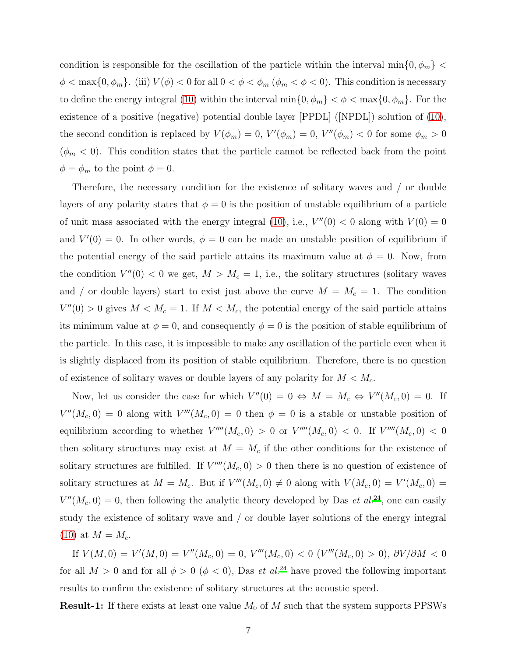condition is responsible for the oscillation of the particle within the interval min $\{0, \phi_m\}$  <  $\phi < \max\{0, \phi_m\}$ . (iii)  $V(\phi) < 0$  for all  $0 < \phi < \phi_m$  ( $\phi_m < \phi < 0$ ). This condition is necessary to define the energy integral [\(10\)](#page-5-0) within the interval  $\min\{0, \phi_m\} < \phi < \max\{0, \phi_m\}$ . For the existence of a positive (negative) potential double layer [PPDL] ([NPDL]) solution of [\(10\)](#page-5-0), the second condition is replaced by  $V(\phi_m) = 0$ ,  $V'(\phi_m) = 0$ ,  $V''(\phi_m) < 0$  for some  $\phi_m > 0$  $(\phi_m < 0)$ . This condition states that the particle cannot be reflected back from the point  $\phi = \phi_m$  to the point  $\phi = 0$ .

Therefore, the necessary condition for the existence of solitary waves and / or double layers of any polarity states that  $\phi = 0$  is the position of unstable equilibrium of a particle of unit mass associated with the energy integral [\(10\)](#page-5-0), i.e.,  $V''(0) < 0$  along with  $V(0) = 0$ and  $V'(0) = 0$ . In other words,  $\phi = 0$  can be made an unstable position of equilibrium if the potential energy of the said particle attains its maximum value at  $\phi = 0$ . Now, from the condition  $V''(0) < 0$  we get,  $M > M_c = 1$ , i.e., the solitary structures (solitary waves and / or double layers) start to exist just above the curve  $M = M_c = 1$ . The condition  $V''(0) > 0$  gives  $M < M_c = 1$ . If  $M < M_c$ , the potential energy of the said particle attains its minimum value at  $\phi = 0$ , and consequently  $\phi = 0$  is the position of stable equilibrium of the particle. In this case, it is impossible to make any oscillation of the particle even when it is slightly displaced from its position of stable equilibrium. Therefore, there is no question of existence of solitary waves or double layers of any polarity for  $M < M_c$ .

Now, let us consider the case for which  $V''(0) = 0 \Leftrightarrow M = M_c \Leftrightarrow V''(M_c, 0) = 0$ . If  $V''(M_c, 0) = 0$  along with  $V'''(M_c, 0) = 0$  then  $\phi = 0$  is a stable or unstable position of equilibrium according to whether  $V''''(M_c,0) > 0$  or  $V'''(M_c,0) < 0$ . If  $V''''(M_c,0) < 0$ then solitary structures may exist at  $M = M_c$  if the other conditions for the existence of solitary structures are fulfilled. If  $V''''(M_c, 0) > 0$  then there is no question of existence of solitary structures at  $M = M_c$ . But if  $V'''(M_c, 0) \neq 0$  along with  $V(M_c, 0) = V'(M_c, 0) =$  $V''(M_c, 0) = 0$ , then following the analytic theory developed by Das *et al.*<sup>[24](#page-20-7)</sup>, one can easily study the existence of solitary wave and / or double layer solutions of the energy integral [\(10\)](#page-5-0) at  $M = M_c$ .

If  $V(M,0) = V'(M,0) = V''(M_c,0) = 0, V'''(M_c,0) < 0 (V'''(M_c,0) > 0), \partial V/\partial M < 0$ for all  $M > 0$  and for all  $\phi > 0$  ( $\phi < 0$ ), Das *et al.*<sup>[24](#page-20-7)</sup> have proved the following important results to confirm the existence of solitary structures at the acoustic speed.

**Result-1:** If there exists at least one value  $M_0$  of M such that the system supports PPSWs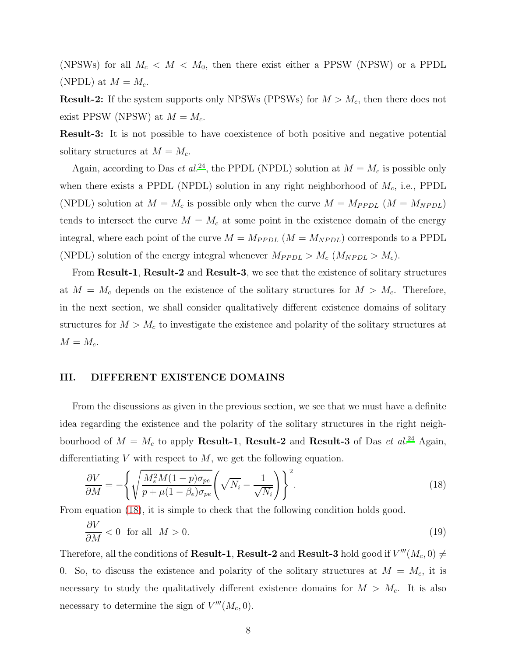(NPSWs) for all  $M_c < M < M_0$ , then there exist either a PPSW (NPSW) or a PPDL (NPDL) at  $M = M_c$ .

**Result-2:** If the system supports only NPSWs (PPSWs) for  $M > M_c$ , then there does not exist PPSW (NPSW) at  $M = M_c$ .

Result-3: It is not possible to have coexistence of both positive and negative potential solitary structures at  $M = M_c$ .

Again, according to Das *et al.*<sup>[24](#page-20-7)</sup>, the PPDL (NPDL) solution at  $M = M_c$  is possible only when there exists a PPDL (NPDL) solution in any right neighborhood of  $M_c$ , i.e., PPDL (NPDL) solution at  $M = M_c$  is possible only when the curve  $M = M_{PPDL}$   $(M = M_{NPDL})$ tends to intersect the curve  $M = M_c$  at some point in the existence domain of the energy integral, where each point of the curve  $M = M_{PPDL}$  ( $M = M_{NPDL}$ ) corresponds to a PPDL (NPDL) solution of the energy integral whenever  $M_{PPDL} > M_c (M_{NPDL} > M_c)$ .

From Result-1, Result-2 and Result-3, we see that the existence of solitary structures at  $M = M_c$  depends on the existence of the solitary structures for  $M > M_c$ . Therefore, in the next section, we shall consider qualitatively different existence domains of solitary structures for  $M > M_c$  to investigate the existence and polarity of the solitary structures at  $M = M_c$ .

### III. DIFFERENT EXISTENCE DOMAINS

From the discussions as given in the previous section, we see that we must have a definite idea regarding the existence and the polarity of the solitary structures in the right neighbourhood of  $M = M_c$  to apply **Result-1**, **Result-2** and **Result-3** of Das *et al.*<sup>[24](#page-20-7)</sup> Again, differentiating V with respect to  $M$ , we get the following equation.

<span id="page-7-0"></span>
$$
\frac{\partial V}{\partial M} = -\left\{ \sqrt{\frac{M_s^2 M (1 - p) \sigma_{pe}}{p + \mu (1 - \beta_e) \sigma_{pe}}} \left( \sqrt{N_i} - \frac{1}{\sqrt{N_i}} \right) \right\}^2.
$$
\n(18)

From equation [\(18\)](#page-7-0), it is simple to check that the following condition holds good.

$$
\frac{\partial V}{\partial M} < 0 \quad \text{for all} \quad M > 0. \tag{19}
$$

Therefore, all the conditions of **Result-1**, **Result-2** and **Result-3** hold good if  $V'''(M_c, 0) \neq$ 0. So, to discuss the existence and polarity of the solitary structures at  $M = M_c$ , it is necessary to study the qualitatively different existence domains for  $M > M_c$ . It is also necessary to determine the sign of  $V'''(M_c, 0)$ .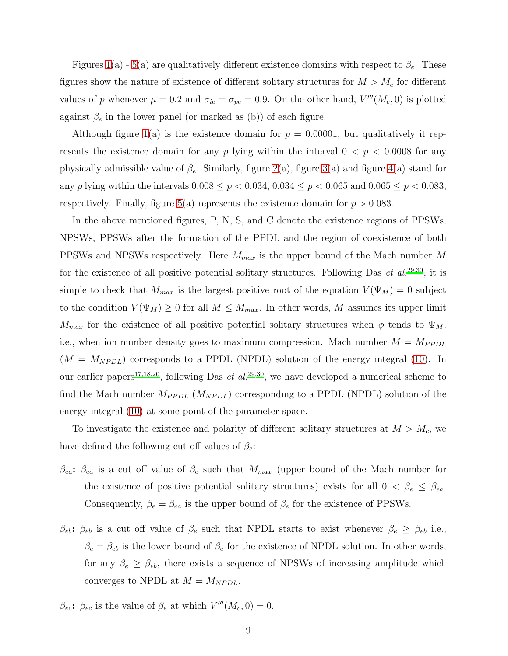Figures [1\(](#page-21-0)a)- [5\(](#page-25-0)a) are qualitatively different existence domains with respect to  $\beta_e$ . These figures show the nature of existence of different solitary structures for  $M > M_c$  for different values of p whenever  $\mu = 0.2$  and  $\sigma_{ie} = \sigma_{pe} = 0.9$ . On the other hand,  $V'''(M_c, 0)$  is plotted against  $\beta_e$  in the lower panel (or marked as (b)) of each figure.

Although figure [1\(](#page-21-0)a) is the existence domain for  $p = 0.00001$ , but qualitatively it represents the existence domain for any p lying within the interval  $0 < p < 0.0008$  for any physically admissible value of  $\beta_e$ . Similarly, figure [2\(](#page-22-0)a), figure [3\(](#page-23-0)a) and figure [4\(](#page-24-0)a) stand for any p lying within the intervals  $0.008 \le p < 0.034, 0.034 \le p < 0.065$  and  $0.065 \le p < 0.083$ , respectively. Finally, figure [5\(](#page-25-0)a) represents the existence domain for  $p > 0.083$ .

In the above mentioned figures, P, N, S, and C denote the existence regions of PPSWs, NPSWs, PPSWs after the formation of the PPDL and the region of coexistence of both PPSWs and NPSWs respectively. Here  $M_{max}$  is the upper bound of the Mach number M for the existence of all positive potential solitary structures. Following Das *et al.*[29](#page-20-12)[,30](#page-20-13), it is simple to check that  $M_{max}$  is the largest positive root of the equation  $V(\Psi_M) = 0$  subject to the condition  $V(\Psi_M) \geq 0$  for all  $M \leq M_{max}$ . In other words, M assumes its upper limit  $M_{max}$  for the existence of all positive potential solitary structures when  $\phi$  tends to  $\Psi_M$ , i.e., when ion number density goes to maximum compression. Mach number  $M = M_{PPDL}$  $(M = M_{NPDL})$  corresponds to a PPDL (NPDL) solution of the energy integral [\(10\)](#page-5-0). In our earlier papers<sup>[17](#page-20-1)[,18](#page-20-2)[,20](#page-20-4)</sup>, following Das *et al.*<sup>[29](#page-20-12)[,30](#page-20-13)</sup>, we have developed a numerical scheme to find the Mach number  $M_{PPDL}$  ( $M_{NPDL}$ ) corresponding to a PPDL (NPDL) solution of the energy integral [\(10\)](#page-5-0) at some point of the parameter space.

To investigate the existence and polarity of different solitary structures at  $M > M_c$ , we have defined the following cut off values of  $\beta_e$ :

- $\beta_{ea}$ :  $\beta_{ea}$  is a cut off value of  $\beta_e$  such that  $M_{max}$  (upper bound of the Mach number for the existence of positive potential solitary structures) exists for all  $0 < \beta_e \leq \beta_{ea}$ . Consequently,  $\beta_e = \beta_{ea}$  is the upper bound of  $\beta_e$  for the existence of PPSWs.
- $β_{eb}$ :  $β_{eb}$  is a cut off value of  $β_e$  such that NPDL starts to exist whenever  $β_e ≥ β_{eb}$  i.e.,  $\beta_e = \beta_{eb}$  is the lower bound of  $\beta_e$  for the existence of NPDL solution. In other words, for any  $\beta_e \geq \beta_{eb}$ , there exists a sequence of NPSWs of increasing amplitude which converges to NPDL at  $M = M_{NPDL}$ .

 $\beta_{ec}$ :  $\beta_{ec}$  is the value of  $\beta_e$  at which  $V'''(M_c, 0) = 0$ .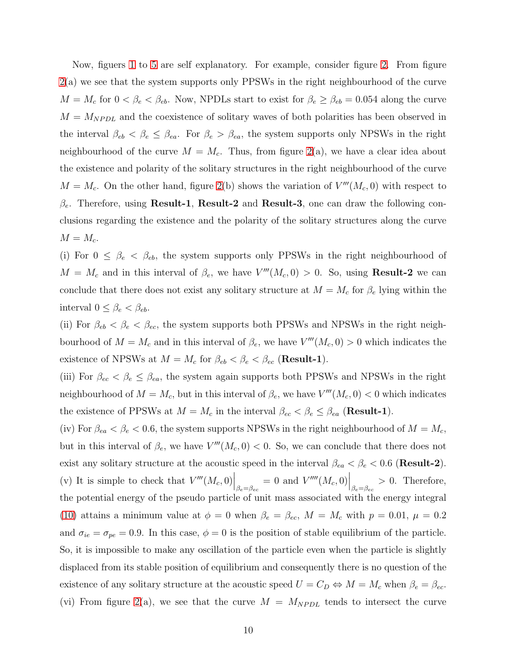Now, figuers [1](#page-21-0) to [5](#page-25-0) are self explanatory. For example, consider figure [2.](#page-22-0) From figure [2\(](#page-22-0)a) we see that the system supports only PPSWs in the right neighbourhood of the curve  $M = M_c$  for  $0 < \beta_e < \beta_{eb}$ . Now, NPDLs start to exist for  $\beta_e \ge \beta_{eb} = 0.054$  along the curve  $M = M_{NPDL}$  and the coexistence of solitary waves of both polarities has been observed in the interval  $\beta_{eb} < \beta_e \leq \beta_{ea}$ . For  $\beta_e > \beta_{ea}$ , the system supports only NPSWs in the right neighbourhood of the curve  $M = M_c$ . Thus, from figure [2\(](#page-22-0)a), we have a clear idea about the existence and polarity of the solitary structures in the right neighbourhood of the curve  $M = M_c$ . On the other hand, figure [2\(](#page-22-0)b) shows the variation of  $V'''(M_c, 0)$  with respect to  $\beta_e$ . Therefore, using **Result-1**, **Result-2** and **Result-3**, one can draw the following conclusions regarding the existence and the polarity of the solitary structures along the curve  $M = M_c$ .

(i) For  $0 \le \beta_e < \beta_{eb}$ , the system supports only PPSWs in the right neighbourhood of  $M = M_c$  and in this interval of  $\beta_e$ , we have  $V'''(M_c, 0) > 0$ . So, using **Result-2** we can conclude that there does not exist any solitary structure at  $M = M_c$  for  $\beta_e$  lying within the interval  $0 \leq \beta_e < \beta_{eb}$ .

(ii) For  $\beta_{eb} < \beta_{ec}$ , the system supports both PPSWs and NPSWs in the right neighbourhood of  $M = M_c$  and in this interval of  $\beta_e$ , we have  $V'''(M_c, 0) > 0$  which indicates the existence of NPSWs at  $M = M_c$  for  $\beta_{eb} < \beta_e < \beta_{ec}$  (**Result-1**).

(iii) For  $\beta_{ec} < \beta_e \leq \beta_{ea}$ , the system again supports both PPSWs and NPSWs in the right neighbourhood of  $M = M_c$ , but in this interval of  $\beta_e$ , we have  $V'''(M_c, 0) < 0$  which indicates the existence of PPSWs at  $M = M_c$  in the interval  $\beta_{ec} < \beta_e \leq \beta_{ea}$  (**Result-1**).

(iv) For  $\beta_{ea} < \beta_e < 0.6$ , the system supports NPSWs in the right neighbourhood of  $M = M_c$ , but in this interval of  $\beta_e$ , we have  $V'''(M_c, 0) < 0$ . So, we can conclude that there does not exist any solitary structure at the acoustic speed in the interval  $\beta_{ea} < \beta_e < 0.6$  (Result-2). (v) It is simple to check that  $V'''(M_c,0)\Big|_{\beta_e=\beta_{ec}}=0$  and  $V''''(M_c,0)\Big|_{\beta_e=\beta_{ec}}>0$ . Therefore, the potential energy of the pseudo particle of unit mass associated with the energy integral [\(10\)](#page-5-0) attains a minimum value at  $\phi = 0$  when  $\beta_e = \beta_{ec}$ ,  $M = M_c$  with  $p = 0.01$ ,  $\mu = 0.2$ and  $\sigma_{ie} = \sigma_{pe} = 0.9$ . In this case,  $\phi = 0$  is the position of stable equilibrium of the particle. So, it is impossible to make any oscillation of the particle even when the particle is slightly displaced from its stable position of equilibrium and consequently there is no question of the existence of any solitary structure at the acoustic speed  $U = C_D \Leftrightarrow M = M_c$  when  $\beta_e = \beta_{ec}$ . (vi) From figure [2\(](#page-22-0)a), we see that the curve  $M = M_{NPL}$  tends to intersect the curve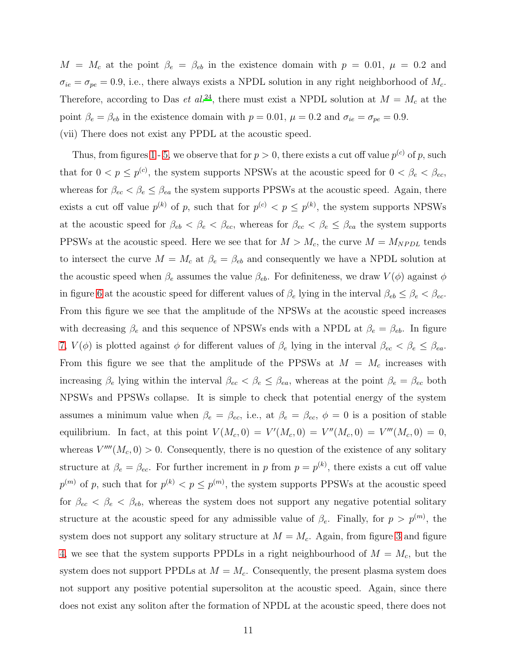$M = M_c$  at the point  $\beta_e = \beta_{eb}$  in the existence domain with  $p = 0.01$ ,  $\mu = 0.2$  and  $\sigma_{ie} = \sigma_{pe} = 0.9$ , i.e., there always exists a NPDL solution in any right neighborhood of  $M_c$ . Therefore, according to Das *et al.*<sup>[24](#page-20-7)</sup>, there must exist a NPDL solution at  $M = M_c$  at the point  $\beta_e = \beta_{eb}$  in the existence domain with  $p = 0.01$ ,  $\mu = 0.2$  and  $\sigma_{ie} = \sigma_{pe} = 0.9$ . (vii) There does not exist any PPDL at the acoustic speed.

Thus, from figures [1](#page-21-0) - [5,](#page-25-0) we observe that for  $p > 0$ , there exists a cut off value  $p^{(c)}$  of p, such that for  $0 < p \le p^{(c)}$ , the system supports NPSWs at the acoustic speed for  $0 < \beta_e < \beta_{ec}$ , whereas for  $\beta_{ec} < \beta_e \leq \beta_{ea}$  the system supports PPSWs at the acoustic speed. Again, there exists a cut off value  $p^{(k)}$  of p, such that for  $p^{(c)} < p \leq p^{(k)}$ , the system supports NPSWs at the acoustic speed for  $\beta_{eb} < \beta_{ec} < \beta_{ec}$ , whereas for  $\beta_{ec} < \beta_e \leq \beta_{ea}$  the system supports PPSWs at the acoustic speed. Here we see that for  $M > M_c$ , the curve  $M = M_{NPDL}$  tends to intersect the curve  $M = M_c$  at  $\beta_e = \beta_{eb}$  and consequently we have a NPDL solution at the acoustic speed when  $\beta_e$  assumes the value  $\beta_{eb}$ . For definiteness, we draw  $V(\phi)$  against  $\phi$ in figure [6](#page-25-1) at the acoustic speed for different values of  $\beta_e$  lying in the interval  $\beta_{eb} \leq \beta_e < \beta_{ec}$ . From this figure we see that the amplitude of the NPSWs at the acoustic speed increases with decreasing  $\beta_e$  and this sequence of NPSWs ends with a NPDL at  $\beta_e = \beta_{eb}$ . In figure [7,](#page-26-0)  $V(\phi)$  is plotted against  $\phi$  for different values of  $\beta_e$  lying in the interval  $\beta_{ec} < \beta_e \leq \beta_{ea}$ . From this figure we see that the amplitude of the PPSWs at  $M = M_c$  increases with increasing  $\beta_e$  lying within the interval  $\beta_{ec} < \beta_e \leq \beta_{ea}$ , whereas at the point  $\beta_e = \beta_{ec}$  both NPSWs and PPSWs collapse. It is simple to check that potential energy of the system assumes a minimum value when  $\beta_e = \beta_{ec}$ , i.e., at  $\beta_e = \beta_{ec}$ ,  $\phi = 0$  is a position of stable equilibrium. In fact, at this point  $V(M_c, 0) = V'(M_c, 0) = V''(M_c, 0) = V'''(M_c, 0) = 0$ , whereas  $V''''(M_c, 0) > 0$ . Consequently, there is no question of the existence of any solitary structure at  $\beta_e = \beta_{ec}$ . For further increment in p from  $p = p^{(k)}$ , there exists a cut off value  $p^{(m)}$  of p, such that for  $p^{(k)} < p \leq p^{(m)}$ , the system supports PPSWs at the acoustic speed for  $\beta_{ec} < \beta_e < \beta_{eb}$ , whereas the system does not support any negative potential solitary structure at the acoustic speed for any admissible value of  $\beta_e$ . Finally, for  $p > p^{(m)}$ , the system does not support any solitary structure at  $M = M_c$ . Again, from figure [3](#page-23-0) and figure [4,](#page-24-0) we see that the system supports PPDLs in a right neighbourhood of  $M = M_c$ , but the system does not support PPDLs at  $M = M_c$ . Consequently, the present plasma system does not support any positive potential supersoliton at the acoustic speed. Again, since there does not exist any soliton after the formation of NPDL at the acoustic speed, there does not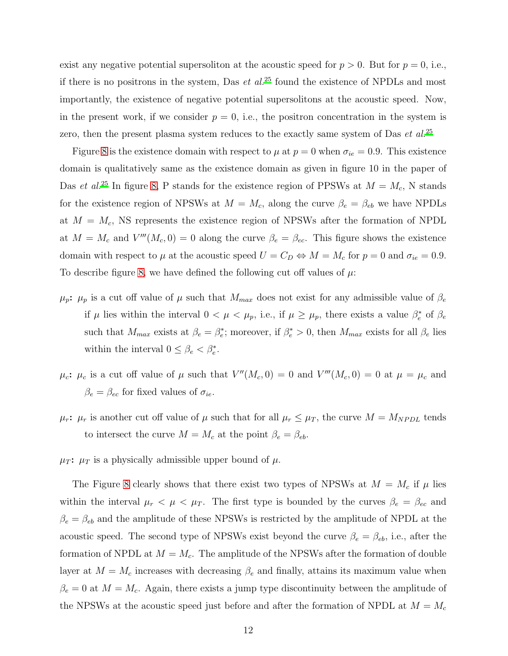exist any negative potential supersoliton at the acoustic speed for  $p > 0$ . But for  $p = 0$ , i.e., if there is no positrons in the system, Das *et al.*[25](#page-20-8) found the existence of NPDLs and most importantly, the existence of negative potential supersolitons at the acoustic speed. Now, in the present work, if we consider  $p = 0$ , i.e., the positron concentration in the system is zero, then the present plasma system reduces to the exactly same system of Das *et al.*[25](#page-20-8)

Figure [8](#page-26-1) is the existence domain with respect to  $\mu$  at  $p = 0$  when  $\sigma_{ie} = 0.9$ . This existence domain is qualitatively same as the existence domain as given in figure 10 in the paper of Das *et al.*<sup>[25](#page-20-8)</sup> In figure [8,](#page-26-1) P stands for the existence region of PPSWs at  $M = M_c$ , N stands for the existence region of NPSWs at  $M = M_c$ , along the curve  $\beta_e = \beta_{eb}$  we have NPDLs at  $M = M_c$ , NS represents the existence region of NPSWs after the formation of NPDL at  $M = M_c$  and  $V'''(M_c, 0) = 0$  along the curve  $\beta_e = \beta_{ec}$ . This figure shows the existence domain with respect to  $\mu$  at the acoustic speed  $U = C_D \Leftrightarrow M = M_c$  for  $p = 0$  and  $\sigma_{ie} = 0.9$ . To describe figure [8,](#page-26-1) we have defined the following cut off values of  $\mu$ :

- $\mu_p$ :  $\mu_p$  is a cut off value of  $\mu$  such that  $M_{max}$  does not exist for any admissible value of  $\beta_e$ if  $\mu$  lies within the interval  $0 < \mu < \mu_p$ , i.e., if  $\mu \ge \mu_p$ , there exists a value  $\beta_e^*$  $_e^*$  of  $\beta_e$ such that  $M_{max}$  exists at  $\beta_e = \beta_e^*$ <sup>\*</sup>/\*; moreover, if  $\beta_e^* > 0$ , then  $M_{max}$  exists for all  $\beta_e$  lies within the interval  $0 \leq \beta_e < \beta_e^*$ .
- $\mu_c$ :  $\mu_c$  is a cut off value of  $\mu$  such that  $V''(M_c, 0) = 0$  and  $V'''(M_c, 0) = 0$  at  $\mu = \mu_c$  and  $\beta_e = \beta_{ec}$  for fixed values of  $\sigma_{ie}$ .
- $\mu_r$ :  $\mu_r$  is another cut off value of  $\mu$  such that for all  $\mu_r \leq \mu_T$ , the curve  $M = M_{NPDL}$  tends to intersect the curve  $M = M_c$  at the point  $\beta_e = \beta_{eb}$ .

 $\mu_T$ :  $\mu_T$  is a physically admissible upper bound of  $\mu$ .

The Figure [8](#page-26-1) clearly shows that there exist two types of NPSWs at  $M = M_c$  if  $\mu$  lies within the interval  $\mu_r < \mu < \mu_T$ . The first type is bounded by the curves  $\beta_e = \beta_{ec}$  and  $\beta_e = \beta_{eb}$  and the amplitude of these NPSWs is restricted by the amplitude of NPDL at the acoustic speed. The second type of NPSWs exist beyond the curve  $\beta_e = \beta_{eb}$ , i.e., after the formation of NPDL at  $M = M_c$ . The amplitude of the NPSWs after the formation of double layer at  $M = M_c$  increases with decreasing  $\beta_e$  and finally, attains its maximum value when  $\beta_e = 0$  at  $M = M_c$ . Again, there exists a jump type discontinuity between the amplitude of the NPSWs at the acoustic speed just before and after the formation of NPDL at  $M = M_c$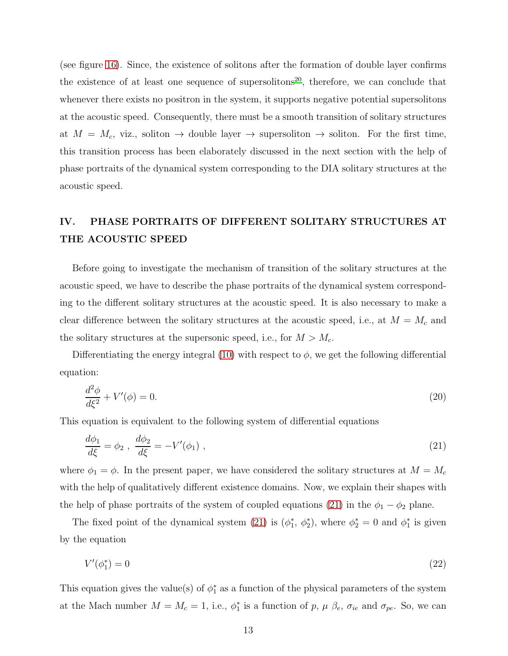(see figure [16\)](#page-31-0). Since, the existence of solitons after the formation of double layer confirms the existence of at least one sequence of supersolitons<sup>[20](#page-20-4)</sup>, therefore, we can conclude that whenever there exists no positron in the system, it supports negative potential supersolitons at the acoustic speed. Consequently, there must be a smooth transition of solitary structures at  $M = M_c$ , viz., soliton  $\rightarrow$  double layer  $\rightarrow$  supersoliton  $\rightarrow$  soliton. For the first time, this transition process has been elaborately discussed in the next section with the help of phase portraits of the dynamical system corresponding to the DIA solitary structures at the acoustic speed.

# IV. PHASE PORTRAITS OF DIFFERENT SOLITARY STRUCTURES AT THE ACOUSTIC SPEED

Before going to investigate the mechanism of transition of the solitary structures at the acoustic speed, we have to describe the phase portraits of the dynamical system corresponding to the different solitary structures at the acoustic speed. It is also necessary to make a clear difference between the solitary structures at the acoustic speed, i.e., at  $M = M_c$  and the solitary structures at the supersonic speed, i.e., for  $M > M_c$ .

Differentiating the energy integral [\(10\)](#page-5-0) with respect to  $\phi$ , we get the following differential equation:

$$
\frac{d^2\phi}{d\xi^2} + V'(\phi) = 0.\tag{20}
$$

This equation is equivalent to the following system of differential equations

<span id="page-12-0"></span>
$$
\frac{d\phi_1}{d\xi} = \phi_2 \ , \ \frac{d\phi_2}{d\xi} = -V'(\phi_1) \ , \tag{21}
$$

where  $\phi_1 = \phi$ . In the present paper, we have considered the solitary structures at  $M = M_c$ with the help of qualitatively different existence domains. Now, we explain their shapes with the help of phase portraits of the system of coupled equations [\(21\)](#page-12-0) in the  $\phi_1 - \phi_2$  plane.

The fixed point of the dynamical system  $(21)$  is  $(\phi_1^*$  $_{1}^{\ast}, \phi_{2}^{\ast}$  $_{2}^{*}$ ), where  $\phi_{2}^{*} = 0$  and  $\phi_{1}^{*}$  $j<sub>1</sub>$  is given by the equation

$$
V'(\phi_1^*) = 0 \tag{22}
$$

This equation gives the value(s) of  $\phi_1^*$  as a function of the physical parameters of the system at the Mach number  $M = M_c = 1$ , i.e.,  $\phi_1^*$ <sup>\*</sup>/<sub>1</sub> is a function of p,  $\mu$   $\beta_e$ ,  $\sigma_{ie}$  and  $\sigma_{pe}$ . So, we can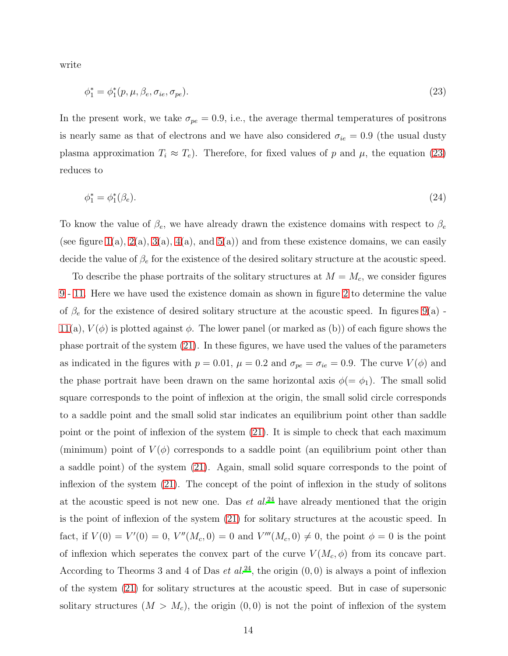write

<span id="page-13-0"></span>
$$
\phi_1^* = \phi_1^*(p, \mu, \beta_e, \sigma_{ie}, \sigma_{pe}). \tag{23}
$$

In the present work, we take  $\sigma_{pe} = 0.9$ , i.e., the average thermal temperatures of positrons is nearly same as that of electrons and we have also considered  $\sigma_{ie} = 0.9$  (the usual dusty plasma approximation  $T_i \approx T_e$ ). Therefore, for fixed values of p and  $\mu$ , the equation [\(23\)](#page-13-0) reduces to

$$
\phi_1^* = \phi_1^*(\beta_e). \tag{24}
$$

To know the value of  $\beta_e$ , we have already drawn the existence domains with respect to  $\beta_e$ (see figure [1\(](#page-21-0)a), [2\(](#page-22-0)a), [3\(](#page-23-0)a), [4\(](#page-24-0)a), and [5\(](#page-25-0)a)) and from these existence domains, we can easily decide the value of  $\beta_e$  for the existence of the desired solitary structure at the acoustic speed.

To describe the phase portraits of the solitary structures at  $M = M_c$ , we consider figures [9](#page-27-0) - [11.](#page-28-0) Here we have used the existence domain as shown in figure [2](#page-22-0) to determine the value of  $\beta_e$  for the existence of desired solitary structure at the acoustic speed. In figures [9\(](#page-27-0)a) - $11(a)$  $11(a)$ ,  $V(\phi)$  is plotted against  $\phi$ . The lower panel (or marked as (b)) of each figure shows the phase portrait of the system [\(21\)](#page-12-0). In these figures, we have used the values of the parameters as indicated in the figures with  $p = 0.01$ ,  $\mu = 0.2$  and  $\sigma_{pe} = \sigma_{ie} = 0.9$ . The curve  $V(\phi)$  and the phase portrait have been drawn on the same horizontal axis  $\phi(=\phi_1)$ . The small solid square corresponds to the point of inflexion at the origin, the small solid circle corresponds to a saddle point and the small solid star indicates an equilibrium point other than saddle point or the point of inflexion of the system [\(21\)](#page-12-0). It is simple to check that each maximum (minimum) point of  $V(\phi)$  corresponds to a saddle point (an equilibrium point other than a saddle point) of the system [\(21\)](#page-12-0). Again, small solid square corresponds to the point of inflexion of the system [\(21\)](#page-12-0). The concept of the point of inflexion in the study of solitons at the acoustic speed is not new one. Das *et al.*[24](#page-20-7) have already mentioned that the origin is the point of inflexion of the system [\(21\)](#page-12-0) for solitary structures at the acoustic speed. In fact, if  $V(0) = V'(0) = 0$ ,  $V''(M_c, 0) = 0$  and  $V'''(M_c, 0) \neq 0$ , the point  $\phi = 0$  is the point of inflexion which seperates the convex part of the curve  $V(M_c, \phi)$  from its concave part. According to Theorms 3 and 4 of Das  $et al.^{24}$  $et al.^{24}$  $et al.^{24}$ , the origin  $(0,0)$  is always a point of inflexion of the system [\(21\)](#page-12-0) for solitary structures at the acoustic speed. But in case of supersonic solitary structures  $(M > M_c)$ , the origin  $(0, 0)$  is not the point of inflexion of the system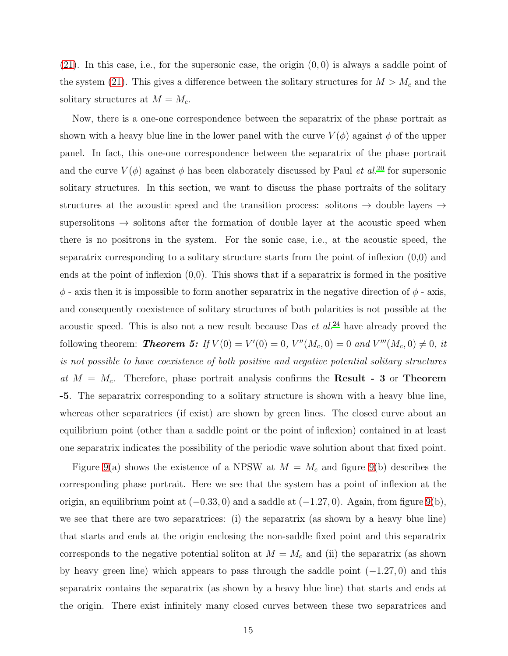$(21)$ . In this case, i.e., for the supersonic case, the origin  $(0, 0)$  is always a saddle point of the system [\(21\)](#page-12-0). This gives a difference between the solitary structures for  $M > M_c$  and the solitary structures at  $M = M_c$ .

Now, there is a one-one correspondence between the separatrix of the phase portrait as shown with a heavy blue line in the lower panel with the curve  $V(\phi)$  against  $\phi$  of the upper panel. In fact, this one-one correspondence between the separatrix of the phase portrait and the curve  $V(\phi)$  against  $\phi$  has been elaborately discussed by Paul *et al.*<sup>[20](#page-20-4)</sup> for supersonic solitary structures. In this section, we want to discuss the phase portraits of the solitary structures at the acoustic speed and the transition process: solitons  $\rightarrow$  double layers  $\rightarrow$ supersolitons  $\rightarrow$  solitons after the formation of double layer at the acoustic speed when there is no positrons in the system. For the sonic case, i.e., at the acoustic speed, the separatrix corresponding to a solitary structure starts from the point of inflexion (0,0) and ends at the point of inflexion  $(0,0)$ . This shows that if a separatrix is formed in the positive  $\phi$  - axis then it is impossible to form another separatrix in the negative direction of  $\phi$  - axis, and consequently coexistence of solitary structures of both polarities is not possible at the acoustic speed. This is also not a new result because Das *et al.*[24](#page-20-7) have already proved the following theorem: **Theorem 5:** If  $V(0) = V'(0) = 0$ ,  $V''(M_c, 0) = 0$  and  $V'''(M_c, 0) \neq 0$ , it *is not possible to have coexistence of both positive and negative potential solitary structures*  $at\ M = M_c$ . Therefore, phase portrait analysis confirms the **Result - 3** or **Theorem** -5. The separatrix corresponding to a solitary structure is shown with a heavy blue line, whereas other separatrices (if exist) are shown by green lines. The closed curve about an equilibrium point (other than a saddle point or the point of inflexion) contained in at least one separatrix indicates the possibility of the periodic wave solution about that fixed point.

Figure [9\(](#page-27-0)a) shows the existence of a NPSW at  $M = M_c$  and figure 9(b) describes the corresponding phase portrait. Here we see that the system has a point of inflexion at the origin, an equilibrium point at  $(-0.33, 0)$  and a saddle at  $(-1.27, 0)$ . Again, from figure [9\(](#page-27-0)b), we see that there are two separatrices: (i) the separatrix (as shown by a heavy blue line) that starts and ends at the origin enclosing the non-saddle fixed point and this separatrix corresponds to the negative potential soliton at  $M = M_c$  and (ii) the separatrix (as shown by heavy green line) which appears to pass through the saddle point  $(-1.27, 0)$  and this separatrix contains the separatrix (as shown by a heavy blue line) that starts and ends at the origin. There exist infinitely many closed curves between these two separatrices and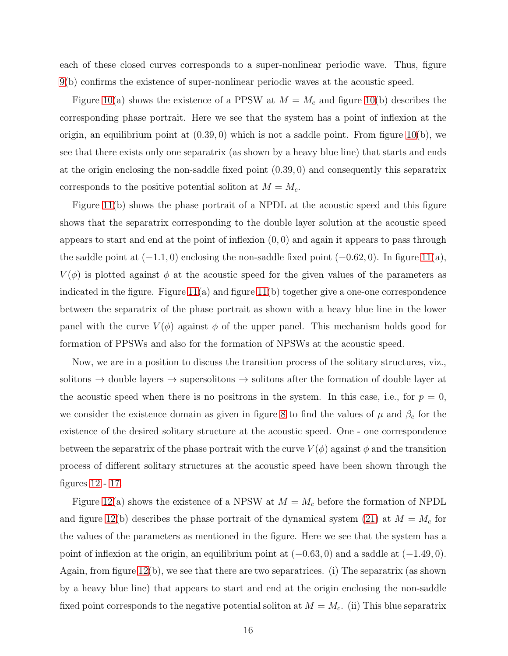each of these closed curves corresponds to a super-nonlinear periodic wave. Thus, figure [9\(](#page-27-0)b) confirms the existence of super-nonlinear periodic waves at the acoustic speed.

Figure [10\(](#page-27-1)a) shows the existence of a PPSW at  $M = M_c$  and figure 10(b) describes the corresponding phase portrait. Here we see that the system has a point of inflexion at the origin, an equilibrium point at  $(0.39, 0)$  which is not a saddle point. From figure [10\(](#page-27-1)b), we see that there exists only one separatrix (as shown by a heavy blue line) that starts and ends at the origin enclosing the non-saddle fixed point (0.39, 0) and consequently this separatrix corresponds to the positive potential soliton at  $M = M_c$ .

Figure [11\(](#page-28-0)b) shows the phase portrait of a NPDL at the acoustic speed and this figure shows that the separatrix corresponding to the double layer solution at the acoustic speed appears to start and end at the point of inflexion  $(0, 0)$  and again it appears to pass through the saddle point at  $(-1.1, 0)$  enclosing the non-saddle fixed point  $(-0.62, 0)$ . In figure [11\(](#page-28-0)a),  $V(\phi)$  is plotted against  $\phi$  at the acoustic speed for the given values of the parameters as indicated in the figure. Figure [11\(](#page-28-0)a) and figure [11\(](#page-28-0)b) together give a one-one correspondence between the separatrix of the phase portrait as shown with a heavy blue line in the lower panel with the curve  $V(\phi)$  against  $\phi$  of the upper panel. This mechanism holds good for formation of PPSWs and also for the formation of NPSWs at the acoustic speed.

Now, we are in a position to discuss the transition process of the solitary structures, viz., solitons  $\rightarrow$  double layers  $\rightarrow$  supersolitons  $\rightarrow$  solitons after the formation of double layer at the acoustic speed when there is no positrons in the system. In this case, i.e., for  $p = 0$ , we consider the existence domain as given in figure [8](#page-26-1) to find the values of  $\mu$  and  $\beta_e$  for the existence of the desired solitary structure at the acoustic speed. One - one correspondence between the separatrix of the phase portrait with the curve  $V(\phi)$  against  $\phi$  and the transition process of different solitary structures at the acoustic speed have been shown through the figures [12](#page-28-1) - [17.](#page-32-0)

Figure [12\(](#page-28-1)a) shows the existence of a NPSW at  $M = M_c$  before the formation of NPDL and figure [12\(](#page-28-1)b) describes the phase portrait of the dynamical system [\(21\)](#page-12-0) at  $M = M_c$  for the values of the parameters as mentioned in the figure. Here we see that the system has a point of inflexion at the origin, an equilibrium point at  $(-0.63, 0)$  and a saddle at  $(-1.49, 0)$ . Again, from figure [12\(](#page-28-1)b), we see that there are two separatrices. (i) The separatrix (as shown by a heavy blue line) that appears to start and end at the origin enclosing the non-saddle fixed point corresponds to the negative potential soliton at  $M = M_c$ . (ii) This blue separatrix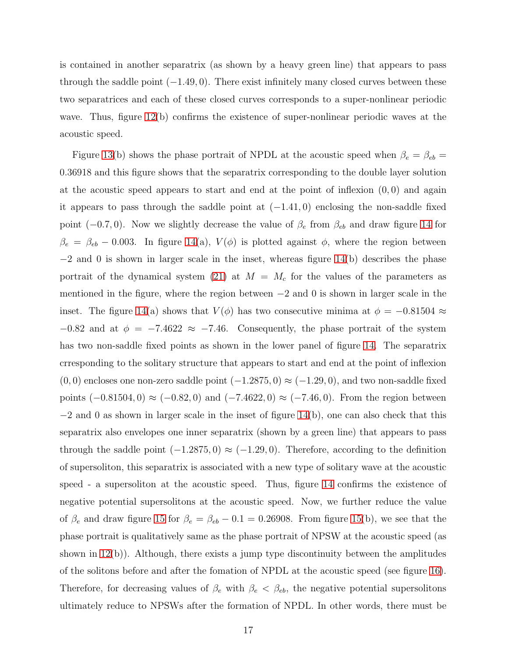is contained in another separatrix (as shown by a heavy green line) that appears to pass through the saddle point  $(-1.49, 0)$ . There exist infinitely many closed curves between these two separatrices and each of these closed curves corresponds to a super-nonlinear periodic wave. Thus, figure [12\(](#page-28-1)b) confirms the existence of super-nonlinear periodic waves at the acoustic speed.

Figure [13\(](#page-29-0)b) shows the phase portrait of NPDL at the acoustic speed when  $\beta_e = \beta_{eb}$ 0.36918 and this figure shows that the separatrix corresponding to the double layer solution at the acoustic speed appears to start and end at the point of inflexion  $(0, 0)$  and again it appears to pass through the saddle point at  $(-1.41, 0)$  enclosing the non-saddle fixed point (−0.7, 0). Now we slightly decrease the value of  $\beta_e$  from  $\beta_{eb}$  and draw figure [14](#page-30-0) for  $\beta_e = \beta_{eb} - 0.003$ . In figure [14\(](#page-30-0)a),  $V(\phi)$  is plotted against  $\phi$ , where the region between −2 and 0 is shown in larger scale in the inset, whereas figure [14\(](#page-30-0)b) describes the phase portrait of the dynamical system [\(21\)](#page-12-0) at  $M = M_c$  for the values of the parameters as mentioned in the figure, where the region between  $-2$  and 0 is shown in larger scale in the inset. The figure [14\(](#page-30-0)a) shows that  $V(\phi)$  has two consecutive minima at  $\phi = -0.81504 \approx$  $-0.82$  and at  $\phi = -7.4622 \approx -7.46$ . Consequently, the phase portrait of the system has two non-saddle fixed points as shown in the lower panel of figure [14.](#page-30-0) The separatrix crresponding to the solitary structure that appears to start and end at the point of inflexion  $(0, 0)$  encloses one non-zero saddle point  $(-1.2875, 0) \approx (-1.29, 0)$ , and two non-saddle fixed points  $(-0.81504, 0) \approx (-0.82, 0)$  and  $(-7.4622, 0) \approx (-7.46, 0)$ . From the region between  $-2$  and 0 as shown in larger scale in the inset of figure [14\(](#page-30-0)b), one can also check that this separatrix also envelopes one inner separatrix (shown by a green line) that appears to pass through the saddle point  $(-1.2875, 0) \approx (-1.29, 0)$ . Therefore, according to the definition of supersoliton, this separatrix is associated with a new type of solitary wave at the acoustic speed - a supersoliton at the acoustic speed. Thus, figure [14](#page-30-0) confirms the existence of negative potential supersolitons at the acoustic speed. Now, we further reduce the value of  $\beta_e$  and draw figure [15](#page-31-1) for  $\beta_e = \beta_{eb} - 0.1 = 0.26908$ . From figure [15\(](#page-31-1)b), we see that the phase portrait is qualitatively same as the phase portrait of NPSW at the acoustic speed (as shown in  $12(b)$ ). Although, there exists a jump type discontinuity between the amplitudes of the solitons before and after the fomation of NPDL at the acoustic speed (see figure [16\)](#page-31-0). Therefore, for decreasing values of  $\beta_e$  with  $\beta_e < \beta_{eb}$ , the negative potential supersolitons ultimately reduce to NPSWs after the formation of NPDL. In other words, there must be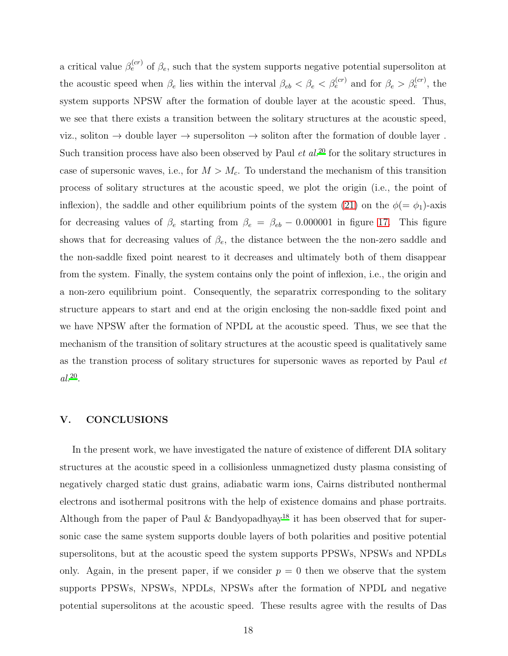a critical value  $\beta_e^{(cr)}$  of  $\beta_e$ , such that the system supports negative potential supersoliton at the acoustic speed when  $\beta_e$  lies within the interval  $\beta_{eb} < \beta_e < \beta_e^{(cr)}$  and for  $\beta_e > \beta_e^{(cr)}$ , the system supports NPSW after the formation of double layer at the acoustic speed. Thus, we see that there exists a transition between the solitary structures at the acoustic speed, viz., soliton  $\rightarrow$  double layer  $\rightarrow$  supersoliton  $\rightarrow$  soliton after the formation of double layer. Such transition process have also been observed by Paul *et al.*<sup>[20](#page-20-4)</sup> for the solitary structures in case of supersonic waves, i.e., for  $M > M_c$ . To understand the mechanism of this transition process of solitary structures at the acoustic speed, we plot the origin (i.e., the point of inflexion), the saddle and other equilibrium points of the system [\(21\)](#page-12-0) on the  $\phi(=\phi_1)$ -axis for decreasing values of  $\beta_e$  starting from  $\beta_e = \beta_{eb} - 0.000001$  in figure [17.](#page-32-0) This figure shows that for decreasing values of  $\beta_e$ , the distance between the the non-zero saddle and the non-saddle fixed point nearest to it decreases and ultimately both of them disappear from the system. Finally, the system contains only the point of inflexion, i.e., the origin and a non-zero equilibrium point. Consequently, the separatrix corresponding to the solitary structure appears to start and end at the origin enclosing the non-saddle fixed point and we have NPSW after the formation of NPDL at the acoustic speed. Thus, we see that the mechanism of the transition of solitary structures at the acoustic speed is qualitatively same as the transtion process of solitary structures for supersonic waves as reported by Paul *et al.*[20](#page-20-4) .

#### V. CONCLUSIONS

In the present work, we have investigated the nature of existence of different DIA solitary structures at the acoustic speed in a collisionless unmagnetized dusty plasma consisting of negatively charged static dust grains, adiabatic warm ions, Cairns distributed nonthermal electrons and isothermal positrons with the help of existence domains and phase portraits. Although from the paper of Paul & Bandyopadhyay<sup>[18](#page-20-2)</sup> it has been observed that for supersonic case the same system supports double layers of both polarities and positive potential supersolitons, but at the acoustic speed the system supports PPSWs, NPSWs and NPDLs only. Again, in the present paper, if we consider  $p = 0$  then we observe that the system supports PPSWs, NPSWs, NPDLs, NPSWs after the formation of NPDL and negative potential supersolitons at the acoustic speed. These results agree with the results of Das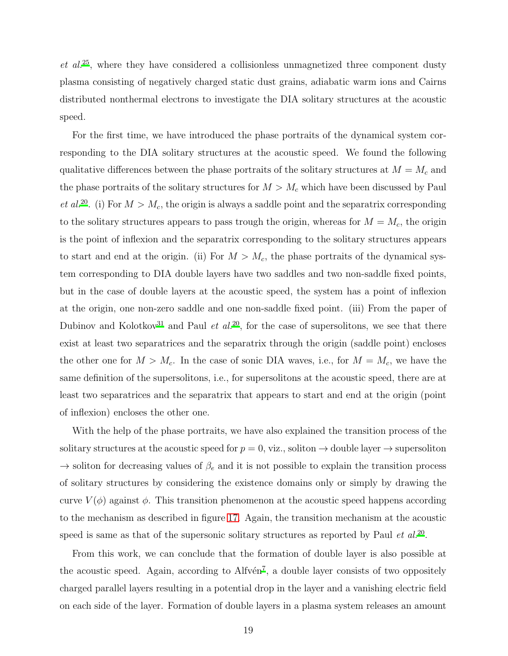*et al.*[25](#page-20-8), where they have considered a collisionless unmagnetized three component dusty plasma consisting of negatively charged static dust grains, adiabatic warm ions and Cairns distributed nonthermal electrons to investigate the DIA solitary structures at the acoustic speed.

For the first time, we have introduced the phase portraits of the dynamical system corresponding to the DIA solitary structures at the acoustic speed. We found the following qualitative differences between the phase portraits of the solitary structures at  $M = M_c$  and the phase portraits of the solitary structures for  $M > M_c$  which have been discussed by Paul *et al.*<sup>[20](#page-20-4)</sup>. (i) For  $M > M_c$ , the origin is always a saddle point and the separatrix corresponding to the solitary structures appears to pass trough the origin, whereas for  $M = M_c$ , the origin is the point of inflexion and the separatrix corresponding to the solitary structures appears to start and end at the origin. (ii) For  $M > M_c$ , the phase portraits of the dynamical system corresponding to DIA double layers have two saddles and two non-saddle fixed points, but in the case of double layers at the acoustic speed, the system has a point of inflexion at the origin, one non-zero saddle and one non-saddle fixed point. (iii) From the paper of Dubinov and Kolotkov<sup>[31](#page-20-14)</sup> and Paul *et al.*<sup>[20](#page-20-4)</sup>, for the case of supersolitons, we see that there exist at least two separatrices and the separatrix through the origin (saddle point) encloses the other one for  $M > M_c$ . In the case of sonic DIA waves, i.e., for  $M = M_c$ , we have the same definition of the supersolitons, i.e., for supersolitons at the acoustic speed, there are at least two separatrices and the separatrix that appears to start and end at the origin (point of inflexion) encloses the other one.

With the help of the phase portraits, we have also explained the transition process of the solitary structures at the acoustic speed for  $p = 0$ , viz., soliton  $\rightarrow$  double layer  $\rightarrow$  supersoliton  $\rightarrow$  soliton for decreasing values of  $\beta_e$  and it is not possible to explain the transition process of solitary structures by considering the existence domains only or simply by drawing the curve  $V(\phi)$  against  $\phi$ . This transition phenomenon at the acoustic speed happens according to the mechanism as described in figure [17.](#page-32-0) Again, the transition mechanism at the acoustic speed is same as that of the supersonic solitary structures as reported by Paul *et al.*<sup>[20](#page-20-4)</sup>.

From this work, we can conclude that the formation of double layer is also possible at the acoustic speed. Again, according to Alfvén<sup>[7](#page-19-5)</sup>, a double layer consists of two oppositely charged parallel layers resulting in a potential drop in the layer and a vanishing electric field on each side of the layer. Formation of double layers in a plasma system releases an amount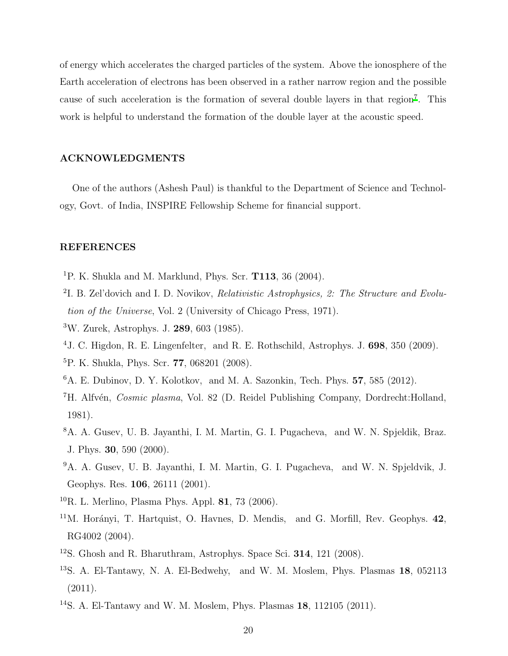of energy which accelerates the charged particles of the system. Above the ionosphere of the Earth acceleration of electrons has been observed in a rather narrow region and the possible cause of such acceleration is the formation of several double layers in that region<sup>[7](#page-19-5)</sup>. This work is helpful to understand the formation of the double layer at the acoustic speed.

### ACKNOWLEDGMENTS

One of the authors (Ashesh Paul) is thankful to the Department of Science and Technology, Govt. of India, INSPIRE Fellowship Scheme for financial support.

### **REFERENCES**

- <span id="page-19-0"></span><sup>1</sup>P. K. Shukla and M. Marklund, Phys. Scr. **T113**, 36 (2004).
- <span id="page-19-1"></span>2 I. B. Zel'dovich and I. D. Novikov, *Relativistic Astrophysics, 2: The Structure and Evolution of the Universe*, Vol. 2 (University of Chicago Press, 1971).
- <span id="page-19-2"></span><sup>3</sup>W. Zurek, Astrophys. J. 289, 603 (1985).
- <sup>4</sup>J. C. Higdon, R. E. Lingenfelter, and R. E. Rothschild, Astrophys. J. 698, 350 (2009).
- <span id="page-19-3"></span><sup>5</sup>P. K. Shukla, Phys. Scr. 77, 068201 (2008).
- <span id="page-19-4"></span> $6A.$  E. Dubinov, D. Y. Kolotkov, and M. A. Sazonkin, Tech. Phys.  $57, 585$  (2012).
- <span id="page-19-5"></span><sup>7</sup>H. Alfvén, *Cosmic plasma*, Vol. 82 (D. Reidel Publishing Company, Dordrecht:Holland, 1981).
- <sup>8</sup>A. A. Gusev, U. B. Jayanthi, I. M. Martin, G. I. Pugacheva, and W. N. Spjeldik, Braz. J. Phys. 30, 590 (2000).
- <span id="page-19-6"></span><sup>9</sup>A. A. Gusev, U. B. Jayanthi, I. M. Martin, G. I. Pugacheva, and W. N. Spjeldvik, J. Geophys. Res. 106, 26111 (2001).
- <span id="page-19-7"></span><sup>10</sup>R. L. Merlino, Plasma Phys. Appl. 81, 73 (2006).
- <span id="page-19-8"></span><sup>11</sup>M. Horányi, T. Hartquist, O. Havnes, D. Mendis, and G. Morfill, Rev. Geophys.  $42$ , RG4002 (2004).
- <span id="page-19-9"></span><sup>12</sup>S. Ghosh and R. Bharuthram, Astrophys. Space Sci. **314**, 121 (2008).
- <span id="page-19-10"></span><sup>13</sup>S. A. El-Tantawy, N. A. El-Bedwehy, and W. M. Moslem, Phys. Plasmas 18, 052113 (2011).
- <sup>14</sup>S. A. El-Tantawy and W. M. Moslem, Phys. Plasmas  $18$ , 112105 (2011).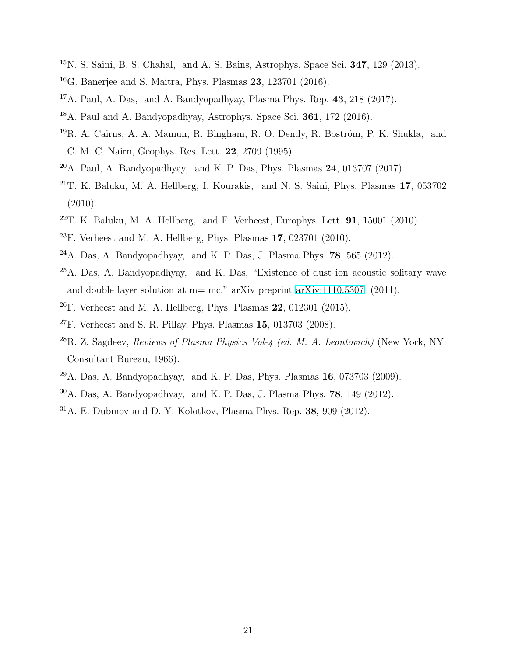- $^{15}$ N. S. Saini, B. S. Chahal, and A. S. Bains, Astrophys. Space Sci. 347, 129 (2013).
- <span id="page-20-0"></span><sup>16</sup>G. Banerjee and S. Maitra, Phys. Plasmas 23, 123701 (2016).
- <span id="page-20-1"></span><sup>17</sup>A. Paul, A. Das, and A. Bandyopadhyay, Plasma Phys. Rep.  $43$ ,  $218$  (2017).
- <span id="page-20-2"></span><sup>18</sup>A. Paul and A. Bandyopadhyay, Astrophys. Space Sci. 361, 172 (2016).
- <span id="page-20-3"></span> $19R.$  A. Cairns, A. A. Mamun, R. Bingham, R. O. Dendy, R. Boström, P. K. Shukla, and C. M. C. Nairn, Geophys. Res. Lett. 22, 2709 (1995).
- <span id="page-20-4"></span> $^{20}$ A. Paul, A. Bandyopadhyay, and K. P. Das, Phys. Plasmas 24, 013707 (2017).
- <span id="page-20-5"></span><sup>21</sup>T. K. Baluku, M. A. Hellberg, I. Kourakis, and N. S. Saini, Phys. Plasmas  $17$ , 053702 (2010).
- $^{22}$ T. K. Baluku, M. A. Hellberg, and F. Verheest, Europhys. Lett. **91**, 15001 (2010).
- <span id="page-20-6"></span> $^{23}F.$  Verheest and M. A. Hellberg, Phys. Plasmas  $17,023701$  (2010).
- <span id="page-20-7"></span> $24A$ . Das, A. Bandyopadhyay, and K. P. Das, J. Plasma Phys. 78, 565 (2012).
- <span id="page-20-8"></span><sup>25</sup>A. Das, A. Bandyopadhyay, and K. Das, "Existence of dust ion acoustic solitary wave and double layer solution at  $m=mc$ ," arXiv preprint [arXiv:1110.5307](http://arxiv.org/abs/1110.5307) (2011).
- <span id="page-20-9"></span> $^{26}$ F. Verheest and M. A. Hellberg, Phys. Plasmas  $22$ , 012301 (2015).
- <span id="page-20-10"></span> $27F$ . Verheest and S. R. Pillay, Phys. Plasmas 15, 013703 (2008).
- <span id="page-20-11"></span><sup>28</sup>R. Z. Sagdeev, *Reviews of Plasma Physics Vol-4 (ed. M. A. Leontovich)* (New York, NY: Consultant Bureau, 1966).
- <span id="page-20-12"></span> $^{29}$ A. Das, A. Bandyopadhyay, and K. P. Das, Phys. Plasmas 16, 073703 (2009).
- <span id="page-20-13"></span> $30$ A. Das, A. Bandyopadhyay, and K. P. Das, J. Plasma Phys. **78**, 149 (2012).
- <span id="page-20-14"></span> $31A$ . E. Dubinov and D. Y. Kolotkov, Plasma Phys. Rep. 38, 909 (2012).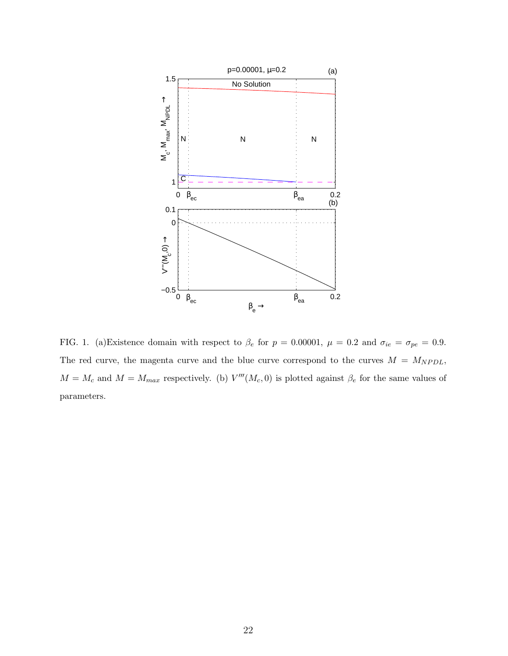

<span id="page-21-0"></span>FIG. 1. (a)Existence domain with respect to  $\beta_e$  for  $p = 0.00001$ ,  $\mu = 0.2$  and  $\sigma_{ie} = \sigma_{pe} = 0.9$ . The red curve, the magenta curve and the blue curve correspond to the curves  $M = M_{NPDL}$ ,  $M = M_c$  and  $M = M_{max}$  respectively. (b)  $V'''(M_c, 0)$  is plotted against  $\beta_e$  for the same values of parameters.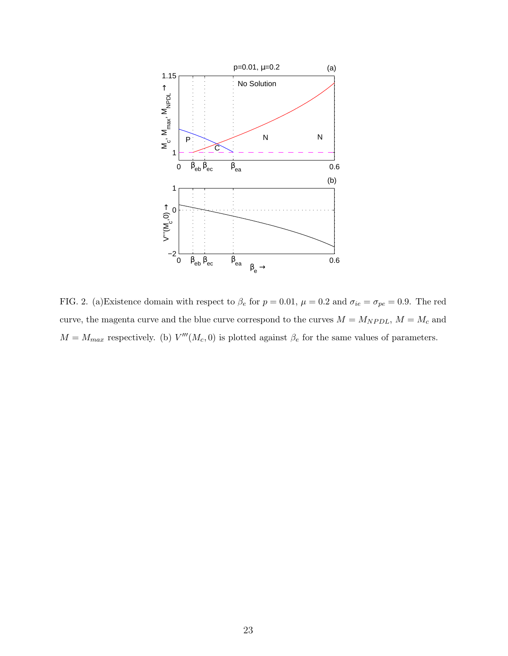

<span id="page-22-0"></span>FIG. 2. (a)Existence domain with respect to  $\beta_e$  for  $p = 0.01$ ,  $\mu = 0.2$  and  $\sigma_{ie} = \sigma_{pe} = 0.9$ . The red curve, the magenta curve and the blue curve correspond to the curves  $M = M_{NPDL}$ ,  $M = M_c$  and  $M = M_{max}$  respectively. (b)  $V'''(M_c, 0)$  is plotted against  $\beta_e$  for the same values of parameters.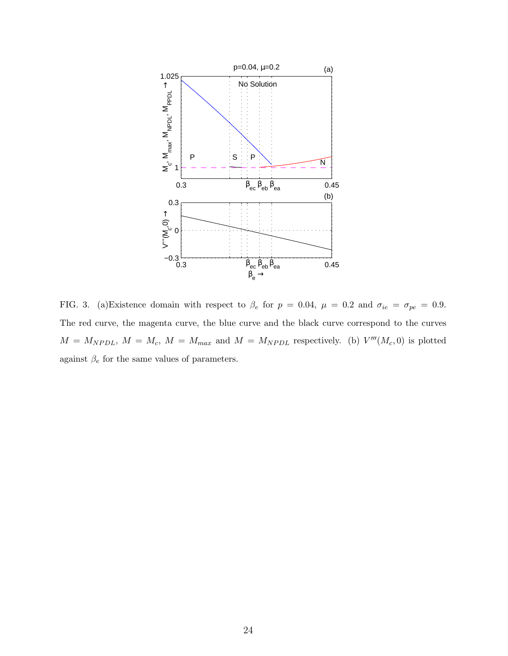

<span id="page-23-0"></span>FIG. 3. (a)Existence domain with respect to  $\beta_e$  for  $p = 0.04$ ,  $\mu = 0.2$  and  $\sigma_{ie} = \sigma_{pe} = 0.9$ . The red curve, the magenta curve, the blue curve and the black curve correspond to the curves  $M = M_{NPDL}$ ,  $M = M_c$ ,  $M = M_{max}$  and  $M = M_{NPDL}$  respectively. (b)  $V'''(M_c, 0)$  is plotted against  $\beta_e$  for the same values of parameters.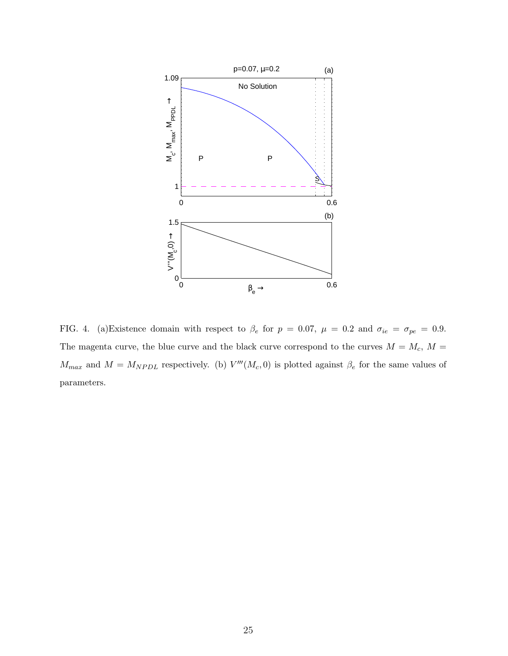

<span id="page-24-0"></span>FIG. 4. (a)Existence domain with respect to  $\beta_e$  for  $p = 0.07$ ,  $\mu = 0.2$  and  $\sigma_{ie} = \sigma_{pe} = 0.9$ . The magenta curve, the blue curve and the black curve correspond to the curves  $M = M_c$ ,  $M =$  $M_{max}$  and  $M = M_{NPDL}$  respectively. (b)  $V'''(M_c, 0)$  is plotted against  $\beta_e$  for the same values of parameters.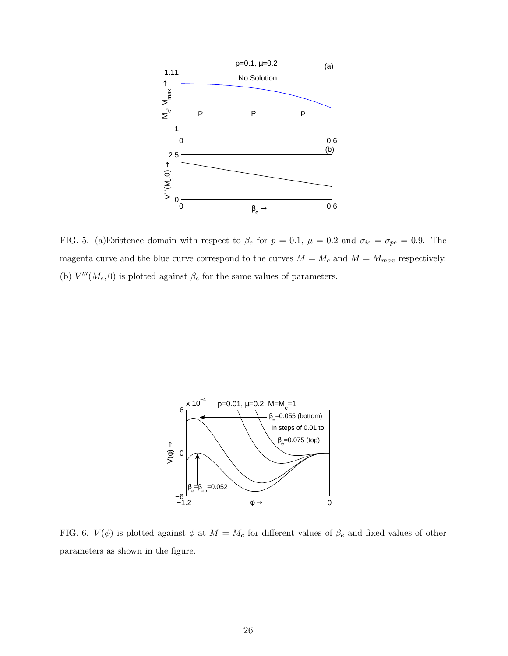

<span id="page-25-0"></span>FIG. 5. (a)Existence domain with respect to  $\beta_e$  for  $p = 0.1$ ,  $\mu = 0.2$  and  $\sigma_{ie} = \sigma_{pe} = 0.9$ . The magenta curve and the blue curve correspond to the curves  $M = M_c$  and  $M = M_{max}$  respectively. (b)  $V'''(M_c, 0)$  is plotted against  $\beta_e$  for the same values of parameters.



<span id="page-25-1"></span>FIG. 6.  $V(\phi)$  is plotted against  $\phi$  at  $M = M_c$  for different values of  $\beta_e$  and fixed values of other parameters as shown in the figure.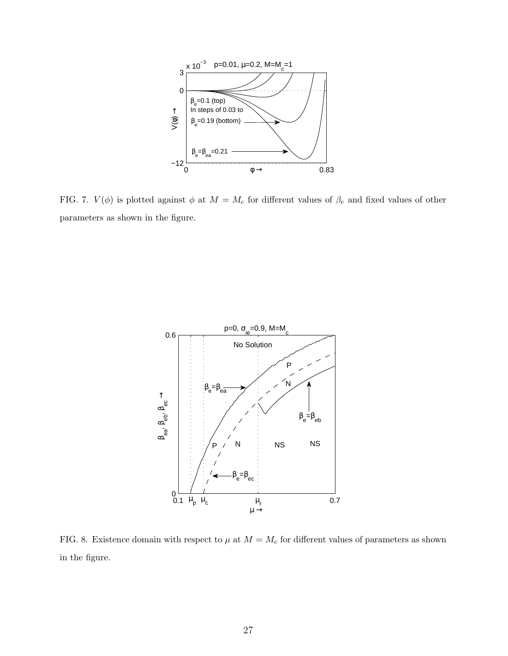

<span id="page-26-0"></span>FIG. 7.  $V(\phi)$  is plotted against  $\phi$  at  $M = M_c$  for different values of  $\beta_e$  and fixed values of other parameters as shown in the figure.



<span id="page-26-1"></span>FIG. 8. Existence domain with respect to  $\mu$  at  $M = M_c$  for different values of parameters as shown in the figure.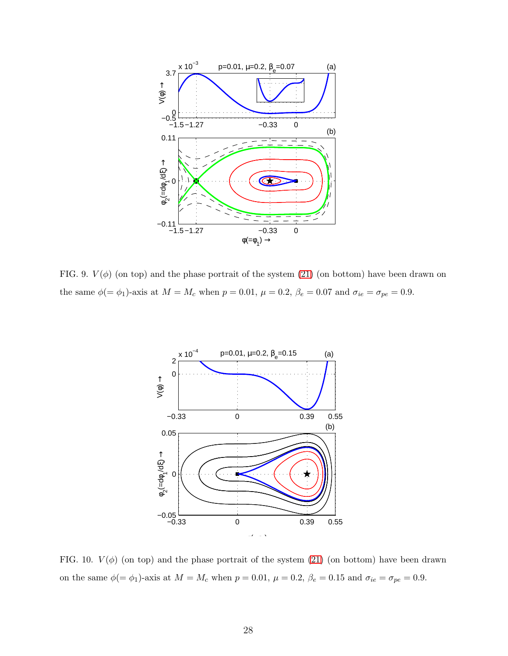

<span id="page-27-0"></span>FIG. 9.  $V(\phi)$  (on top) and the phase portrait of the system [\(21\)](#page-12-0) (on bottom) have been drawn on the same  $\phi(=\phi_1)$ -axis at  $M=M_c$  when  $p=0.01, \ \mu=0.2, \ \beta_e=0.07$  and  $\sigma_{ie}=\sigma_{pe}=0.9$ .



<span id="page-27-1"></span>FIG. 10.  $V(\phi)$  (on top) and the phase portrait of the system [\(21\)](#page-12-0) (on bottom) have been drawn on the same  $\phi(=\phi_1)$ -axis at  $M = M_c$  when  $p = 0.01$ ,  $\mu = 0.2$ ,  $\beta_e = 0.15$  and  $\sigma_{ie} = \sigma_{pe} = 0.9$ .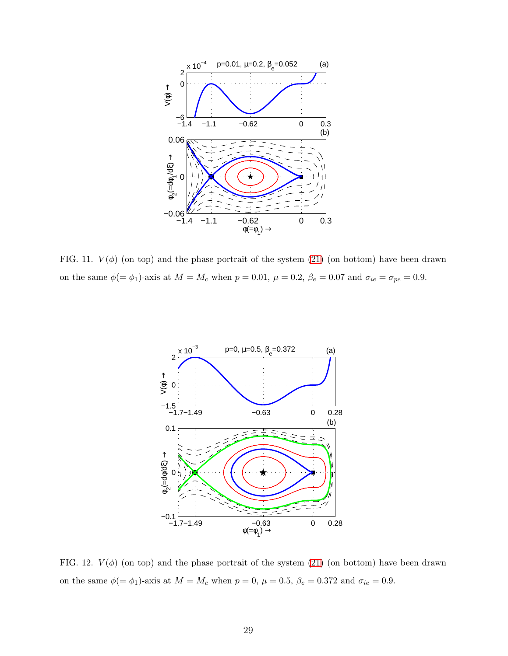

<span id="page-28-0"></span>FIG. 11.  $V(\phi)$  (on top) and the phase portrait of the system [\(21\)](#page-12-0) (on bottom) have been drawn on the same  $\phi(=\phi_1)$ -axis at  $M = M_c$  when  $p = 0.01$ ,  $\mu = 0.2$ ,  $\beta_e = 0.07$  and  $\sigma_{ie} = \sigma_{pe} = 0.9$ .



<span id="page-28-1"></span>FIG. 12.  $V(\phi)$  (on top) and the phase portrait of the system [\(21\)](#page-12-0) (on bottom) have been drawn on the same  $\phi(=\phi_1)$ -axis at  $M=M_c$  when  $p=0, \, \mu=0.5, \, \beta_e=0.372$  and  $\sigma_{ie}=0.9.$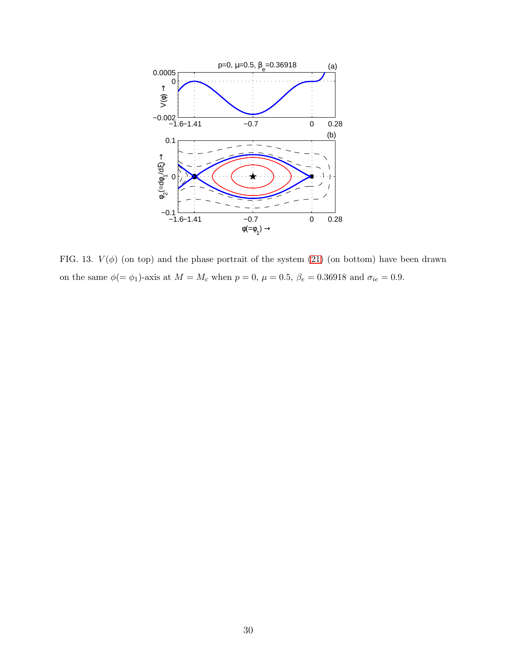

<span id="page-29-0"></span>FIG. 13.  $V(\phi)$  (on top) and the phase portrait of the system [\(21\)](#page-12-0) (on bottom) have been drawn on the same  $\phi(=\phi_1)$ -axis at  $M=M_c$  when  $p=0, \, \mu=0.5, \, \beta_e=0.36918$  and  $\sigma_{ie}=0.9$ .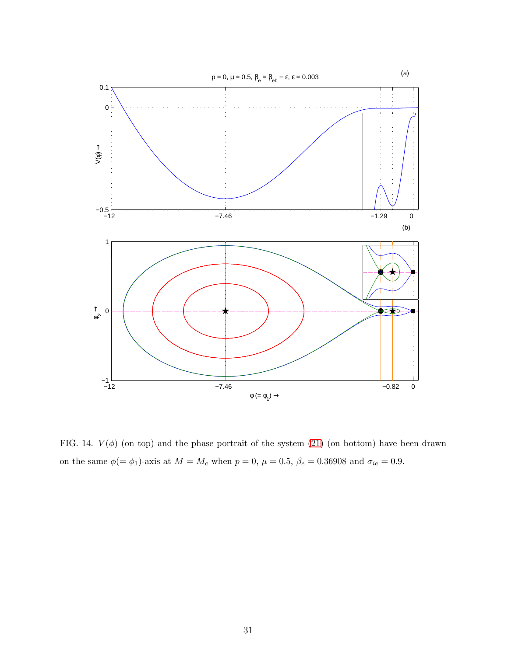

<span id="page-30-0"></span>FIG. 14.  $V(\phi)$  (on top) and the phase portrait of the system [\(21\)](#page-12-0) (on bottom) have been drawn on the same  $\phi(=\phi_1)$ -axis at  $M=M_c$  when  $p=0, \, \mu=0.5, \, \beta_e=0.36908$  and  $\sigma_{ie}=0.9.$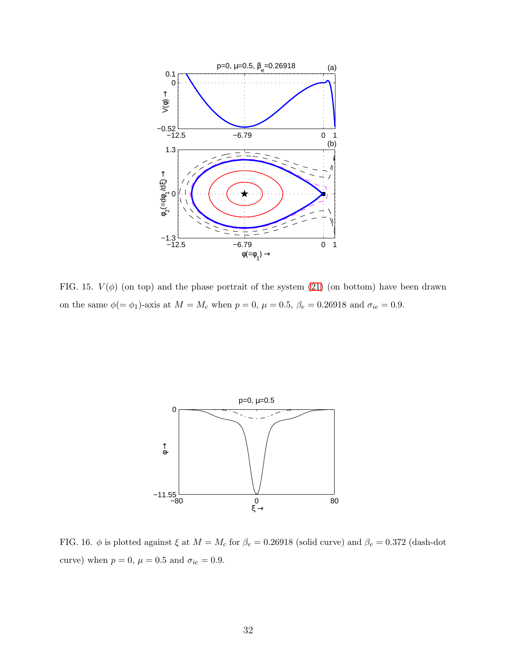

<span id="page-31-1"></span>FIG. 15.  $V(\phi)$  (on top) and the phase portrait of the system [\(21\)](#page-12-0) (on bottom) have been drawn on the same  $\phi(=\phi_1)$ -axis at  $M = M_c$  when  $p = 0$ ,  $\mu = 0.5$ ,  $\beta_e = 0.26918$  and  $\sigma_{ie} = 0.9$ .



<span id="page-31-0"></span>FIG. 16.  $\phi$  is plotted against  $\xi$  at  $M = M_c$  for  $\beta_e = 0.26918$  (solid curve) and  $\beta_e = 0.372$  (dash-dot curve) when  $p=0,\,\mu=0.5$  and  $\sigma_{ie}=0.9.$